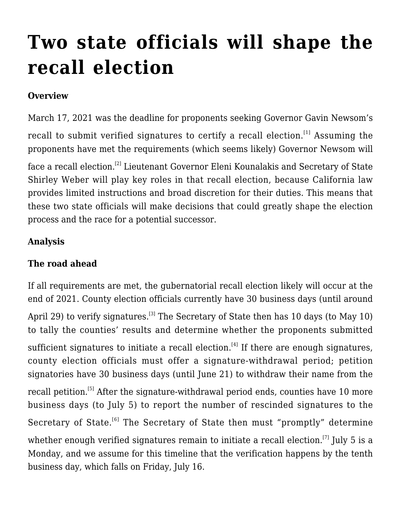# **[Two state officials will shape the](http://scocablog.com/two-state-officials-will-shape-the-recall-election/) [recall election](http://scocablog.com/two-state-officials-will-shape-the-recall-election/)**

## **Overview**

March 17, 2021 was the deadline for proponents seeking Governor Gavin Newsom's recall to submit verified signatures to certify a recall election.<sup>[\[1\]](#page--1-0)</sup> Assuming the proponents have met the requirements ([which seems likely\)](https://www.politico.com/states/california/story/2021/03/19/california-recall-all-but-certain-based-on-official-signature-update-1369176) Governor Newsom will

face a recall election.<sup>[\[2\]](#page--1-0)</sup> Lieutenant Governor Eleni Kounalakis and Secretary of State Shirley Weber will play key roles in that recall election, because California law provides limited instructions and broad discretion for their duties. This means that these two state officials will make decisions that could greatly shape the election process and the race for a potential successor.

## **Analysis**

## **The road ahead**

If all requirements are met, the gubernatorial recall election likely will occur at the end of 2021. County election officials currently have 30 business days (until around April 29) to verify signatures.<sup>[\[3\]](#page--1-0)</sup> The Secretary of State then has 10 days (to May 10) to tally the counties' results and determine whether the proponents submitted sufficient signatures to initiate a recall election.<sup>[\[4\]](#page--1-0)</sup> If there are enough signatures, county election officials must offer a signature-withdrawal period; petition signatories have 30 business days (until June 21) to withdraw their name from the recall petition.<sup>[\[5\]](#page--1-0)</sup> After the signature-withdrawal period ends, counties have 10 more business days (to July 5) to report the number of rescinded signatures to the Secretary of State.<sup>[\[6\]](#page--1-0)</sup> The Secretary of State then must "promptly" determine whether enough verified signatures remain to initiate a recall election.<sup>[\[7\]](#page--1-0)</sup> July 5 is a Monday, and we assume for this timeline that the verification happens by the tenth business day, which falls on Friday, July 16.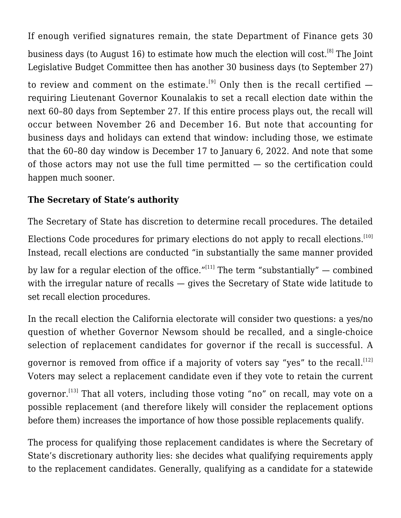If enough verified signatures remain, the state Department of Finance gets 30 business days (to August 16) to estimate how much the election will cost.<sup>[\[8\]](#page--1-0)</sup> The Joint Legislative Budget Committee then has another 30 business days (to September 27)

to review and comment on the estimate.<sup>[\[9\]](#page--1-0)</sup> Only then is the recall certified  $$ requiring Lieutenant Governor Kounalakis to set a recall election date within the next 60–80 days from September 27. If this entire process plays out, the recall will occur between November 26 and December 16. But note that accounting for business days and holidays can extend that window: including those, we estimate that the 60–80 day window is December 17 to January 6, 2022. And note that some of those actors may not use the full time permitted — so the certification could happen much sooner.

# **The Secretary of State's authority**

The Secretary of State has discretion to determine recall procedures. The detailed Elections Code procedures for primary elections do not apply to recall elections.<sup>[\[10\]](#page--1-0)</sup> Instead, recall elections are conducted "in substantially the same manner provided by law for a regular election of the office." $[11]$  The term "substantially" — combined with the irregular nature of recalls — gives the Secretary of State wide latitude to set recall election procedures.

In the recall election the California electorate will consider two questions: a yes/no question of whether Governor Newsom should be recalled, and a single-choice selection of replacement candidates for governor if the recall is successful. A governor is removed from office if a majority of voters say "yes" to the recall.<sup>[\[12\]](#page--1-0)</sup> Voters may select a replacement candidate even if they vote to retain the current governor.<sup>[\[13\]](#page--1-0)</sup> That all voters, including those voting "no" on recall, may vote on a possible replacement (and therefore likely will consider the replacement options before them) increases the importance of how those possible replacements qualify.

The process for qualifying those replacement candidates is where the Secretary of State's discretionary authority lies: she decides what qualifying requirements apply to the replacement candidates. Generally, qualifying as a candidate for a statewide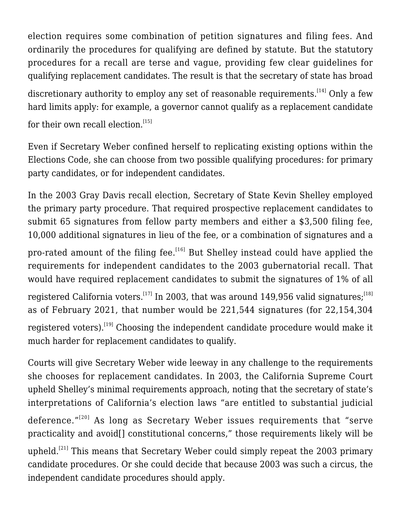election requires some combination of petition signatures and filing fees. And ordinarily the procedures for qualifying are defined by statute. But the statutory procedures for a recall are terse and vague, providing few clear guidelines for qualifying replacement candidates. The result is that the secretary of state has broad

discretionary authority to employ any set of reasonable requirements.<sup>[\[14\]](#page--1-0)</sup> Only a few hard limits apply: for example, a governor cannot qualify as a replacement candidate for their own recall election.<sup>[\[15\]](#page--1-0)</sup>

Even if Secretary Weber confined herself to replicating existing options within the Elections Code, she can choose from two possible qualifying procedures: for primary party candidates, or for independent candidates.

In the 2003 Gray Davis recall election, Secretary of State Kevin Shelley employed the primary party procedure. That required prospective replacement candidates to submit 65 signatures from fellow party members and either a \$3,500 filing fee, 10,000 additional signatures in lieu of the fee, or a combination of signatures and a

pro-rated amount of the filing fee.<sup>[\[16\]](#page--1-0)</sup> But Shelley instead could have applied the requirements for independent candidates to the 2003 gubernatorial recall. That would have required replacement candidates to submit the signatures of 1% of all registered California voters.<sup>[\[17\]](#page--1-0)</sup> In 2003, that was around 149,956 valid signatures;<sup>[\[18\]](#page--1-0)</sup> as of February 2021, that number would be 221,544 signatures (for 22,154,304 registered voters).<sup>[\[19\]](#page--1-0)</sup> Choosing the independent candidate procedure would make it much harder for replacement candidates to qualify.

Courts will give Secretary Weber wide leeway in any challenge to the requirements she chooses for replacement candidates. In 2003, the California Supreme Court upheld Shelley's minimal requirements approach, noting that the secretary of state's interpretations of California's election laws "are entitled to substantial judicial deference."<sup>[\[20\]](#page--1-0)</sup> As long as Secretary Weber issues requirements that "serve practicality and avoid[] constitutional concerns," those requirements likely will be upheld.<sup>[\[21\]](#page--1-0)</sup> This means that Secretary Weber could simply repeat the 2003 primary candidate procedures. Or she could decide that because 2003 was such a circus, the independent candidate procedures should apply.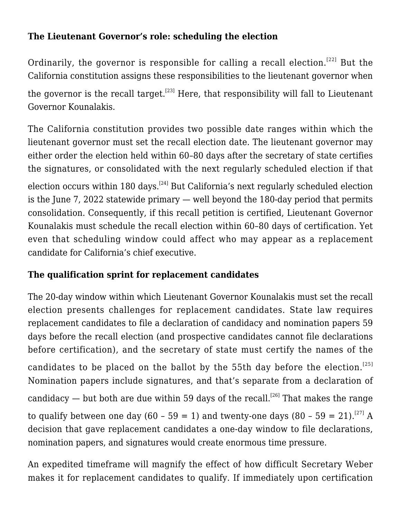#### **The Lieutenant Governor's role: scheduling the election**

Ordinarily, the governor is responsible for calling a recall election.<sup>[\[22\]](#page--1-0)</sup> But the California constitution assigns these responsibilities to the lieutenant governor when the governor is the recall target.<sup>[\[23\]](#page--1-0)</sup> Here, that responsibility will fall to Lieutenant Governor Kounalakis.

The California constitution provides two possible date ranges within which the lieutenant governor must set the recall election date. The lieutenant governor may either order the election held within 60–80 days after the secretary of state certifies the signatures, or consolidated with the next regularly scheduled election if that

election occurs within 180 days.<sup>[\[24\]](#page--1-0)</sup> But California's next regularly scheduled election is the June 7, 2022 statewide primary — well beyond the 180-day period that permits consolidation. Consequently, if this recall petition is certified, Lieutenant Governor Kounalakis must schedule the recall election within 60–80 days of certification. Yet even that scheduling window could affect who may appear as a replacement candidate for California's chief executive.

# **The qualification sprint for replacement candidates**

The 20-day window within which Lieutenant Governor Kounalakis must set the recall election presents challenges for replacement candidates. State law requires replacement candidates to file a declaration of candidacy and nomination papers 59 days before the recall election (and prospective candidates cannot file declarations before certification), and the secretary of state must certify the names of the candidates to be placed on the ballot by the 55th day before the election.<sup>[\[25\]](#page--1-0)</sup> Nomination papers include signatures, and that's separate from a declaration of candidacy — but both are due within 59 days of the recall.<sup>[\[26\]](#page--1-0)</sup> That makes the range to qualify between one day (60 - 59 = 1) and twenty-one days (80 - 59 = 21).<sup>[\[27\]](#page--1-0)</sup> A decision that gave replacement candidates a one-day window to file declarations, nomination papers, and signatures would create enormous time pressure.

An expedited timeframe will magnify the effect of how difficult Secretary Weber makes it for replacement candidates to qualify. If immediately upon certification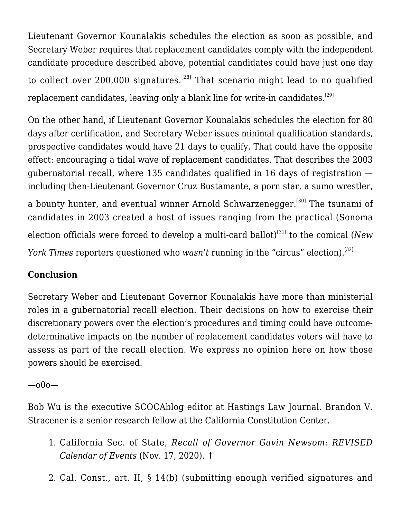Lieutenant Governor Kounalakis schedules the election as soon as possible, and Secretary Weber requires that replacement candidates comply with the independent candidate procedure described above, potential candidates could have just one day to collect over  $200,000$  signatures.<sup>[\[28\]](#page--1-0)</sup> That scenario might lead to no qualified replacement candidates, leaving only a blank line for write-in candidates.<sup>[\[29\]](#page--1-0)</sup>

On the other hand, if Lieutenant Governor Kounalakis schedules the election for 80 days after certification, and Secretary Weber issues minimal qualification standards, prospective candidates would have 21 days to qualify. That could have the opposite effect: encouraging a tidal wave of replacement candidates. That describes the 2003 gubernatorial recall, where 135 candidates qualified in 16 days of registration including then-Lieutenant Governor Cruz Bustamante, a porn star, a sumo wrestler, a bounty hunter, and eventual winner Arnold Schwarzenegger.<sup>[\[30\]](#page--1-0)</sup> The tsunami of candidates in 2003 created a host of issues ranging from the practical (Sonoma election officials were forced to develop a multi-card ballot)<sup>[\[31\]](#page--1-0)</sup> to the comical (*New York Times* reporters questioned who *wasn't* running in the "circus" election).<sup>[\[32\]](#page--1-0)</sup>

# **Conclusion**

Secretary Weber and Lieutenant Governor Kounalakis have more than ministerial roles in a gubernatorial recall election. Their decisions on how to exercise their discretionary powers over the election's procedures and timing could have outcomedeterminative impacts on the number of replacement candidates voters will have to assess as part of the recall election. We express no opinion here on how those powers should be exercised.

## —o0o—

Bob Wu is the executive SCOCAblog editor at Hastings Law Journal. Brandon V. Stracener is a senior research fellow at the California Constitution Center.

- 1. California Sec. of State, *[Recall of Governor Gavin Newsom: REVISED](https://elections.cdn.sos.ca.gov/recalls/newsom-calendar.pdf) [Calendar of Events](https://elections.cdn.sos.ca.gov/recalls/newsom-calendar.pdf)* (Nov. 17, 2020). [↑](#page--1-0)
- 2. Cal. Const., art. II, § 14(b) (submitting enough verified signatures and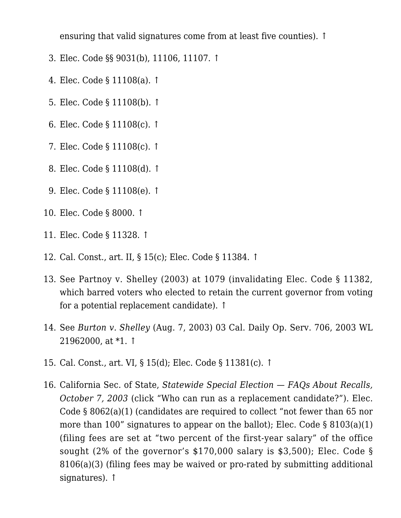ensuring that valid signatures come from at least five counties). [↑](#page--1-0)

- 3. Elec. Code §§ 9031(b), 11106, 11107. [↑](#page--1-0)
- 4. Elec. Code § 11108(a). [↑](#page--1-0)
- 5. Elec. Code § 11108(b). [↑](#page--1-0)
- 6. Elec. Code § 11108(c). [↑](#page--1-0)
- 7. Elec. Code § 11108(c). [↑](#page--1-0)
- 8. Elec. Code § 11108(d). [↑](#page--1-0)
- 9. Elec. Code § 11108(e). [↑](#page--1-0)
- 10. Elec. Code § 8000. [↑](#page--1-0)
- 11. Elec. Code § 11328. [↑](#page--1-0)
- 12. Cal. Const., art. II, § 15(c); Elec. Code § 11384. [↑](#page--1-0)
- 13. See [Partnoy v. Shelley \(2003\)](https://scholar.google.com/scholar_case?case=14609303666144368434&q=277+F.Supp.2d+1064&hl=en&as_sdt=2006) at 1079 (invalidating Elec. Code § 11382, which barred voters who elected to retain the current governor from voting for a potential replacement candidate). [↑](#page--1-0)
- 14. See *Burton v. Shelley* (Aug. 7, 2003) 03 Cal. Daily Op. Serv. 706, 2003 WL 21962000, at \*1. [↑](#page--1-0)
- 15. Cal. Const., art. VI, § 15(d); Elec. Code § 11381(c). [↑](#page--1-0)
- 16. California Sec. of State, *[Statewide Special Election FAQs About Recalls,](https://www.sos.ca.gov/elections/prior-elections/statewide-election-results/statewide-special-election-october-7-2003/frequently-asked-questions#14) [October 7, 2003](https://www.sos.ca.gov/elections/prior-elections/statewide-election-results/statewide-special-election-october-7-2003/frequently-asked-questions#14)* (click "Who can run as a replacement candidate?"). Elec. Code § 8062(a)(1) (candidates are required to collect "not fewer than 65 nor more than 100" signatures to appear on the ballot); Elec. Code  $\S 8103(a)(1)$ (filing fees are set at "two percent of the first-year salary" of the office sought (2% of the governor's \$170,000 salary is \$3,500); Elec. Code § 8106(a)(3) (filing fees may be waived or pro-rated by submitting additional signatures). [↑](#page--1-0)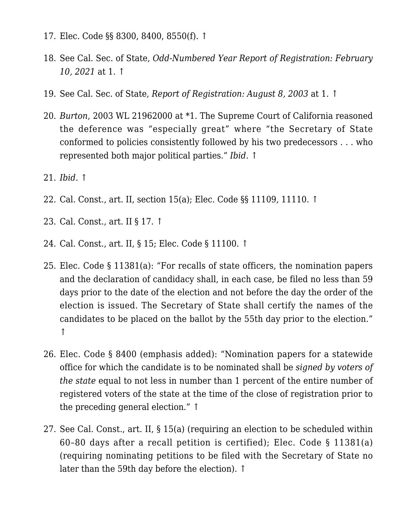- 17. Elec. Code §§ 8300, 8400, 8550(f). [↑](#page--1-0)
- 18. See Cal. Sec. of State, *[Odd-Numbered Year Report of Registration: February](https://elections.cdn.sos.ca.gov/ror/ror-odd-year-2021/historical-reg-stats.pdf) [10, 2021](https://elections.cdn.sos.ca.gov/ror/ror-odd-year-2021/historical-reg-stats.pdf)* at 1. [↑](#page--1-0)
- 19. See Cal. Sec. of State, *[Report of Registration: August 8, 2003](https://elections.cdn.sos.ca.gov/ror/ror-pages/60day-stwdsp-03/hist-reg-stats.pdf)* at 1. [↑](#page--1-0)
- 20. *Burton*, 2003 WL 21962000 at \*1. The Supreme Court of California reasoned the deference was "especially great" where "the Secretary of State conformed to policies consistently followed by his two predecessors . . . who represented both major political parties." *Ibid.* [↑](#page--1-0)
- 21. *Ibid.* [↑](#page--1-0)
- 22. Cal. Const., art. II, section 15(a); Elec. Code §§ 11109, 11110. [↑](#page--1-0)
- 23. Cal. Const., art. II § 17. [↑](#page--1-0)
- 24. Cal. Const., art. II, § 15; Elec. Code § 11100. [↑](#page--1-0)
- 25. Elec. Code § 11381(a): "For recalls of state officers, the nomination papers and the declaration of candidacy shall, in each case, be filed no less than 59 days prior to the date of the election and not before the day the order of the election is issued. The Secretary of State shall certify the names of the candidates to be placed on the ballot by the 55th day prior to the election." [↑](#page--1-0)
- 26. Elec. Code § 8400 (emphasis added): "Nomination papers for a statewide office for which the candidate is to be nominated shall be *signed by voters of the state* equal to not less in number than 1 percent of the entire number of registered voters of the state at the time of the close of registration prior to the preceding general election." [↑](#page--1-0)
- 27. See Cal. Const., art. II, § 15(a) (requiring an election to be scheduled within 60–80 days after a recall petition is certified); Elec. Code § 11381(a) (requiring nominating petitions to be filed with the Secretary of State no later than the 59th day before the election). [↑](#page--1-0)